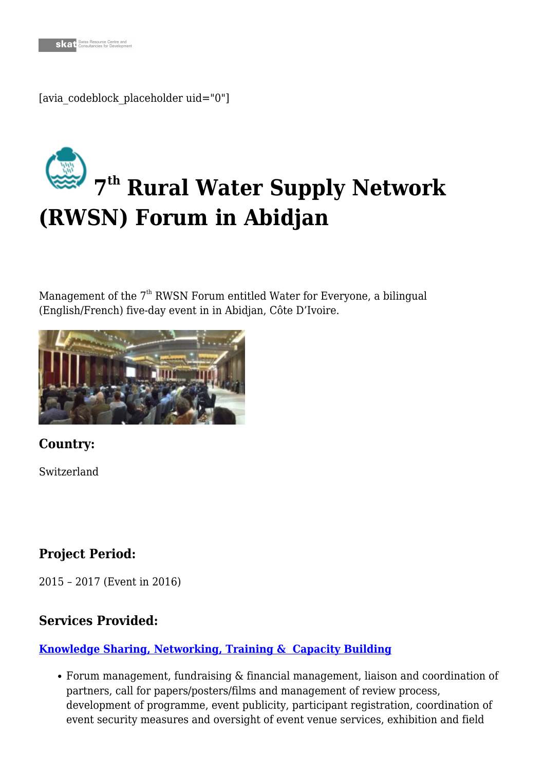[avia\_codeblock\_placeholder uid="0"]

# **[7](https://skat.ch/portfolio-item/environmental-management-iwrm/) th Rural Water Supply Network (RWSN) Forum in Abidjan**

Management of the  $7<sup>th</sup>$  RWSN Forum entitled Water for Everyone, a bilingual (English/French) five-day event in in Abidjan, Côte D'Ivoire.



**Country:**

Switzerland

## **Project Period:**

2015 – 2017 (Event in 2016)

## **Services Provided:**

#### **[Knowledge Sharing, Networking, Training & Capacity Building](https://skat.ch/portfolio-item/knowledge-sharing-networking-training-capacity-development/)**

Forum management, fundraising & financial management, liaison and coordination of partners, call for papers/posters/films and management of review process, development of programme, event publicity, participant registration, coordination of event security measures and oversight of event venue services, exhibition and field